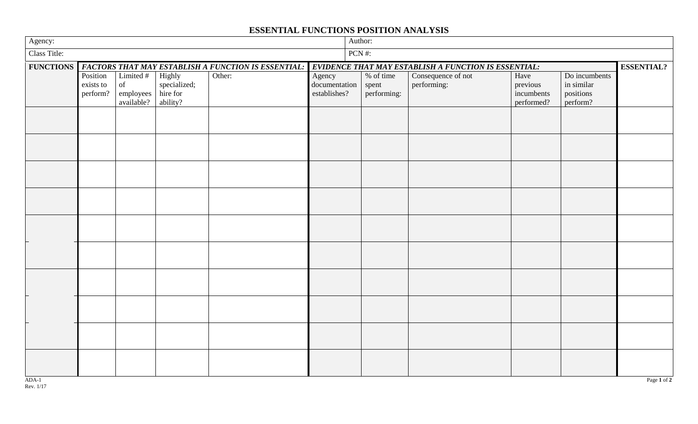## **ESSENTIAL FUNCTIONS POSITION ANALYSIS**

| Agency:          |                                                            |                                  |                          |        |                               |          | Author:                                              |                    |                        |                         |                   |  |
|------------------|------------------------------------------------------------|----------------------------------|--------------------------|--------|-------------------------------|----------|------------------------------------------------------|--------------------|------------------------|-------------------------|-------------------|--|
| Class Title:     |                                                            |                                  |                          |        |                               | $PCN$ #: |                                                      |                    |                        |                         |                   |  |
| <b>FUNCTIONS</b> | <b>FACTORS THAT MAY ESTABLISH A FUNCTION IS ESSENTIAL:</b> |                                  |                          |        |                               |          | EVIDENCE THAT MAY ESTABLISH A FUNCTION IS ESSENTIAL: |                    |                        |                         | <b>ESSENTIAL?</b> |  |
|                  | Position                                                   | Limited $#$                      | Highly                   | Other: | Agency                        |          | % of time                                            | Consequence of not | Have                   | Do incumbents           |                   |  |
|                  | exists to<br>perform?                                      | $% \overline{a}$ of<br>employees | specialized;<br>hire for |        | documentation<br>establishes? |          | spent<br>performing:                                 | performing:        | previous<br>incumbents | in similar<br>positions |                   |  |
|                  |                                                            | available?                       | ability?                 |        |                               |          |                                                      |                    | performed?             | perform?                |                   |  |
|                  |                                                            |                                  |                          |        |                               |          |                                                      |                    |                        |                         |                   |  |
|                  |                                                            |                                  |                          |        |                               |          |                                                      |                    |                        |                         |                   |  |
|                  |                                                            |                                  |                          |        |                               |          |                                                      |                    |                        |                         |                   |  |
|                  |                                                            |                                  |                          |        |                               |          |                                                      |                    |                        |                         |                   |  |
|                  |                                                            |                                  |                          |        |                               |          |                                                      |                    |                        |                         |                   |  |
|                  |                                                            |                                  |                          |        |                               |          |                                                      |                    |                        |                         |                   |  |
|                  |                                                            |                                  |                          |        |                               |          |                                                      |                    |                        |                         |                   |  |
|                  |                                                            |                                  |                          |        |                               |          |                                                      |                    |                        |                         |                   |  |
|                  |                                                            |                                  |                          |        |                               |          |                                                      |                    |                        |                         |                   |  |
|                  |                                                            |                                  |                          |        |                               |          |                                                      |                    |                        |                         |                   |  |
|                  |                                                            |                                  |                          |        |                               |          |                                                      |                    |                        |                         |                   |  |
|                  |                                                            |                                  |                          |        |                               |          |                                                      |                    |                        |                         |                   |  |
|                  |                                                            |                                  |                          |        |                               |          |                                                      |                    |                        |                         |                   |  |
|                  |                                                            |                                  |                          |        |                               |          |                                                      |                    |                        |                         |                   |  |
|                  |                                                            |                                  |                          |        |                               |          |                                                      |                    |                        |                         |                   |  |
|                  |                                                            |                                  |                          |        |                               |          |                                                      |                    |                        |                         |                   |  |
|                  |                                                            |                                  |                          |        |                               |          |                                                      |                    |                        |                         |                   |  |
|                  |                                                            |                                  |                          |        |                               |          |                                                      |                    |                        |                         |                   |  |
|                  |                                                            |                                  |                          |        |                               |          |                                                      |                    |                        |                         |                   |  |
|                  |                                                            |                                  |                          |        |                               |          |                                                      |                    |                        |                         |                   |  |